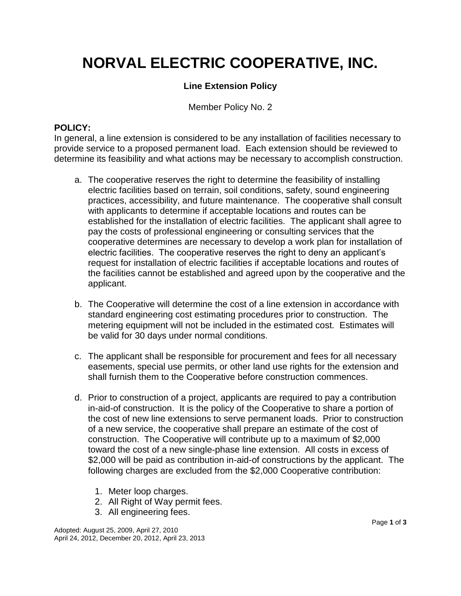## **NORVAL ELECTRIC COOPERATIVE, INC.**

### **Line Extension Policy**

Member Policy No. 2

#### **POLICY:**

In general, a line extension is considered to be any installation of facilities necessary to provide service to a proposed permanent load. Each extension should be reviewed to determine its feasibility and what actions may be necessary to accomplish construction.

- a. The cooperative reserves the right to determine the feasibility of installing electric facilities based on terrain, soil conditions, safety, sound engineering practices, accessibility, and future maintenance. The cooperative shall consult with applicants to determine if acceptable locations and routes can be established for the installation of electric facilities. The applicant shall agree to pay the costs of professional engineering or consulting services that the cooperative determines are necessary to develop a work plan for installation of electric facilities. The cooperative reserves the right to deny an applicant's request for installation of electric facilities if acceptable locations and routes of the facilities cannot be established and agreed upon by the cooperative and the applicant.
- b. The Cooperative will determine the cost of a line extension in accordance with standard engineering cost estimating procedures prior to construction. The metering equipment will not be included in the estimated cost. Estimates will be valid for 30 days under normal conditions.
- c. The applicant shall be responsible for procurement and fees for all necessary easements, special use permits, or other land use rights for the extension and shall furnish them to the Cooperative before construction commences.
- d. Prior to construction of a project, applicants are required to pay a contribution in-aid-of construction. It is the policy of the Cooperative to share a portion of the cost of new line extensions to serve permanent loads. Prior to construction of a new service, the cooperative shall prepare an estimate of the cost of construction. The Cooperative will contribute up to a maximum of \$2,000 toward the cost of a new single-phase line extension. All costs in excess of \$2,000 will be paid as contribution in-aid-of constructions by the applicant. The following charges are excluded from the \$2,000 Cooperative contribution:
	- 1. Meter loop charges.
	- 2. All Right of Way permit fees.
	- 3. All engineering fees.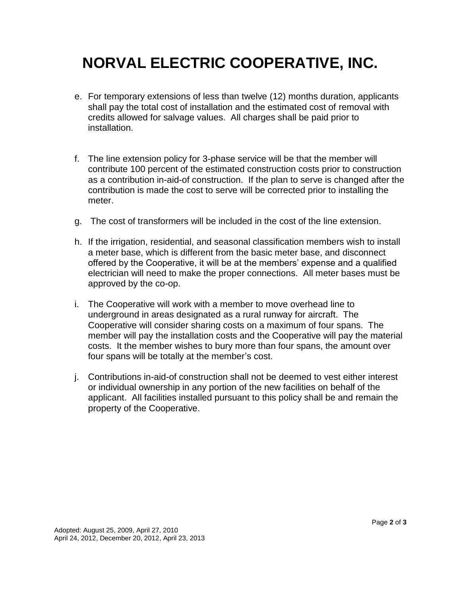## **NORVAL ELECTRIC COOPERATIVE, INC.**

- e. For temporary extensions of less than twelve (12) months duration, applicants shall pay the total cost of installation and the estimated cost of removal with credits allowed for salvage values. All charges shall be paid prior to installation.
- f. The line extension policy for 3-phase service will be that the member will contribute 100 percent of the estimated construction costs prior to construction as a contribution in-aid-of construction. If the plan to serve is changed after the contribution is made the cost to serve will be corrected prior to installing the meter.
- g. The cost of transformers will be included in the cost of the line extension.
- h. If the irrigation, residential, and seasonal classification members wish to install a meter base, which is different from the basic meter base, and disconnect offered by the Cooperative, it will be at the members' expense and a qualified electrician will need to make the proper connections. All meter bases must be approved by the co-op.
- i. The Cooperative will work with a member to move overhead line to underground in areas designated as a rural runway for aircraft. The Cooperative will consider sharing costs on a maximum of four spans. The member will pay the installation costs and the Cooperative will pay the material costs. It the member wishes to bury more than four spans, the amount over four spans will be totally at the member's cost.
- j. Contributions in-aid-of construction shall not be deemed to vest either interest or individual ownership in any portion of the new facilities on behalf of the applicant. All facilities installed pursuant to this policy shall be and remain the property of the Cooperative.